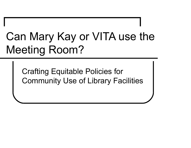# Can Mary Kay or VITA use the Meeting Room?

Crafting Equitable Policies for Community Use of Library Facilities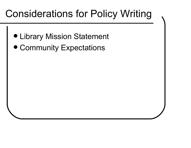## Considerations for Policy Writing

- Library Mission Statement
- Community Expectations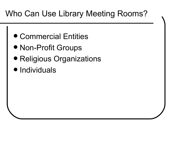#### Who Can Use Library Meeting Rooms?

- Commercial Entities
- Non-Profit Groups
- Religious Organizations
- Individuals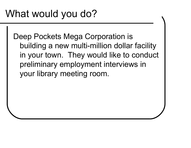Deep Pockets Mega Corporation is building a new multi-million dollar facility in your town. They would like to conduct preliminary employment interviews in your library meeting room.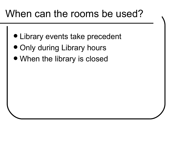#### When can the rooms be used?

- Library events take precedent
- Only during Library hours
- When the library is closed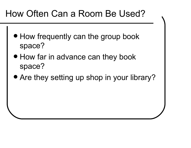#### How Often Can a Room Be Used?

- How frequently can the group book space?
- How far in advance can they book space?
- Are they setting up shop in your library?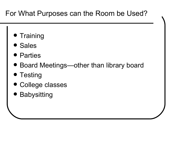#### For What Purposes can the Room be Used?

- Training
- Sales
- Parties
- Board Meetings—other than library board
- Testing
- College classes
- $\bullet$ Babysitting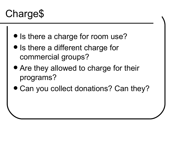# Charge\$

- Is there a charge for room use?
- $\bullet$  Is there a different charge for commercial groups?
- Are they allowed to charge for their programs?
- Can you collect donations? Can they?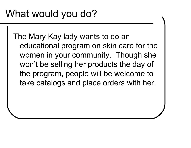The Mary Kay lady wants to do an educational program on skin care for the women in your community. Though she won't be selling her products the day of the program, people will be welcome to take catalogs and place orders with her.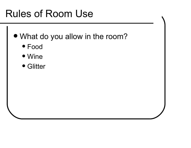## Rules of Room Use

- What do you allow in the room?
	- Food
	- Wine
	- Glitter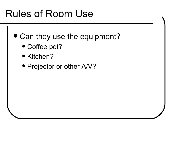## Rules of Room Use

- Can they use the equipment?
	- Coffee pot?
	- Kitchen?
	- Projector or other A/V?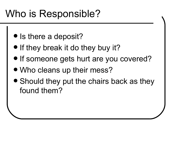#### Who is Responsible?

- Is there a deposit?
- If they break it do they buy it?
- If someone gets hurt are you covered?
- Who cleans up their mess?
- Should they put the chairs back as they found them?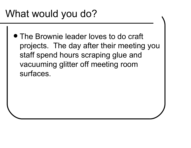## What would you do?

 The Brownie leader loves to do craft projects. The day after their meeting you staff spend hours scraping glue and vacuuming glitter off meeting room surfaces.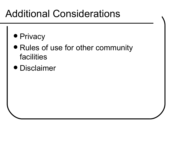#### Additional Considerations

- Privacy
- Rules of use for other community facilities
- Disclaimer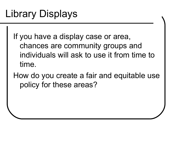# Library Displays

- If you have a display case or area, chances are community groups and individuals will ask to use it from time to time.
- How do you create a fair and equitable use policy for these areas?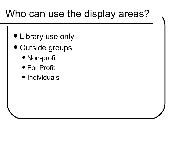#### Who can use the display areas?

- Library use only
- Outside groups
	- Non-profit
	- For Profit
	- Individuals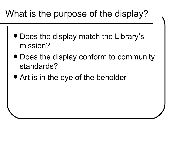#### What is the purpose of the display?

- Does the display match the Library's mission?
- Does the display conform to community standards?
- Art is in the eye of the beholder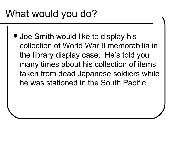# What would you do?

 Joe Smith would like to display his collection of World War II memorabilia in the library display case. He's told you many times about his collection of items taken from dead Japanese soldiers while he was stationed in the South Pacific.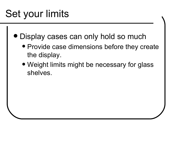# Set your limits

- Display cases can only hold so much
	- Provide case dimensions before they create the display.
	- Weight limits might be necessary for glass shelves.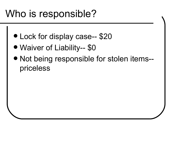#### Who is responsible?

- Lock for display case-- \$20
- Waiver of Liability-- \$0
- Not being responsible for stolen items- priceless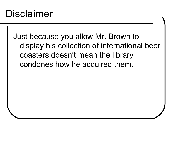#### Disclaimer

Just because you allow Mr. Brown to display his collection of international beer coasters doesn't mean the library condones how he acquired them.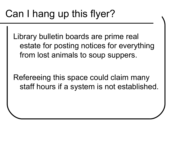## Can I hang up this flyer?

Library bulletin boards are prime real estate for posting notices for everything from lost animals to soup suppers.

Refereeing this space could claim many staff hours if a system is not established.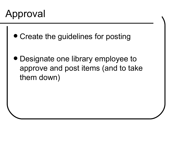

- Create the guidelines for posting
- Designate one library employee to approve and post items (and to take them down)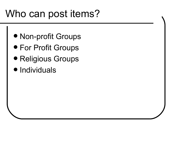# Who can post items?

- Non-profit Groups
- For Profit Groups
- Religious Groups
- Individuals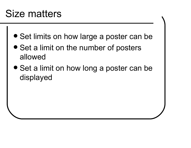#### Size matters

- **Set limits on how large a poster can be**
- Set a limit on the number of posters allowed
- Set a limit on how long a poster can be displayed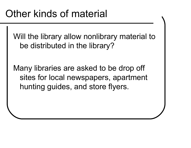Will the library allow nonlibrary material to be distributed in the library?

Many libraries are asked to be drop off sites for local newspapers, apartment hunting guides, and store flyers.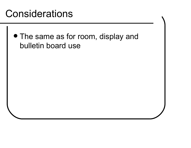#### **Considerations**

 The same as for room, display and bulletin board use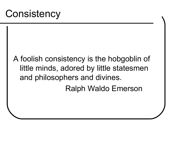#### A foolish consistency is the hobgoblin of little minds, adored by little statesmen and philosophers and divines. Ralph Waldo Emerson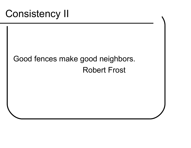#### Good fences make good neighbors.Robert Frost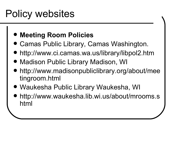## Policy websites

#### $\bullet$ **Meeting Room Policies**

- Camas Public Library, Camas Washington.
- http://www.ci.camas.wa.us/library/libpol2.htm
- $\bullet$ Madison Public Library Madison, WI
- $\bullet$  http://www.madisonpubliclibrary.org/about/meetingroom.html
- Waukesha Public Library Waukesha, WI
- $\bullet$  http://www.waukesha.lib.wi.us/about/mrooms.shtml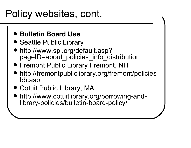#### Policy websites, cont.

- **Bulletin Board Use**
- Seattle Public Library
- http://www.spl.org/default.asp?pageID=about\_policies\_info\_distribution
- Fremont Public Library Fremont, NH
- http://fremontpubliclibrary.org/fremont/policiesbb.asp
- Cotuit Public Library, MA
- http://www.cotuitlibrary.org/borrowing-andlibrary-policies/bulletin-board-policy/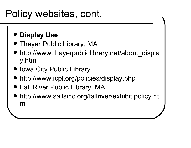## Policy websites, cont.

- $\bullet$ **Display Use**
- **Thayer Public Library, MA**  $\bullet$
- http://www.thayerpubliclibrary.net/about\_displa y.html
- Iowa City Public Library
- http://www.icpl.org/policies/display.php
- Fall River Public Library, MA
- http://www.sailsinc.org/fallriver/exhibit.policy.ht m